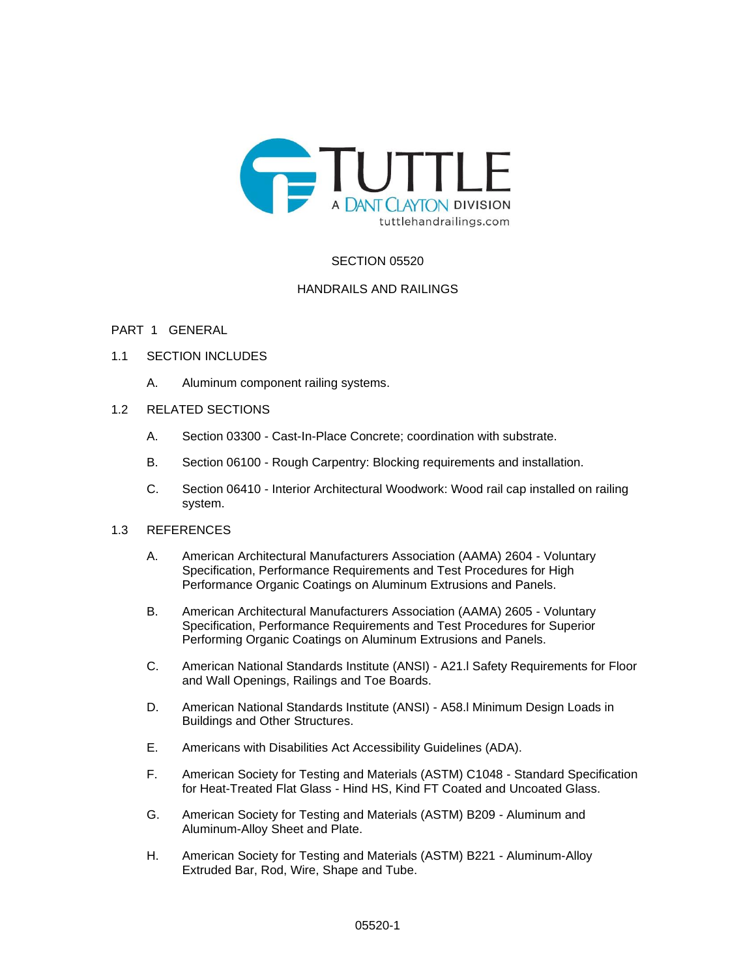

# SECTION 05520

## HANDRAILS AND RAILINGS

## PART 1 GENERAL

## 1.1 SECTION INCLUDES

A. Aluminum component railing systems.

# 1.2 RELATED SECTIONS

- A. Section 03300 Cast-In-Place Concrete; coordination with substrate.
- B. Section 06100 Rough Carpentry: Blocking requirements and installation.
- C. Section 06410 Interior Architectural Woodwork: Wood rail cap installed on railing system.

## 1.3 REFERENCES

- A. American Architectural Manufacturers Association (AAMA) 2604 Voluntary Specification, Performance Requirements and Test Procedures for High Performance Organic Coatings on Aluminum Extrusions and Panels.
- B. American Architectural Manufacturers Association (AAMA) 2605 Voluntary Specification, Performance Requirements and Test Procedures for Superior Performing Organic Coatings on Aluminum Extrusions and Panels.
- C. American National Standards Institute (ANSI) A21.l Safety Requirements for Floor and Wall Openings, Railings and Toe Boards.
- D. American National Standards Institute (ANSI) A58.l Minimum Design Loads in Buildings and Other Structures.
- E. Americans with Disabilities Act Accessibility Guidelines (ADA).
- F. American Society for Testing and Materials (ASTM) C1048 Standard Specification for Heat-Treated Flat Glass - Hind HS, Kind FT Coated and Uncoated Glass.
- G. American Society for Testing and Materials (ASTM) B209 Aluminum and Aluminum-Alloy Sheet and Plate.
- H. American Society for Testing and Materials (ASTM) B221 Aluminum-Alloy Extruded Bar, Rod, Wire, Shape and Tube.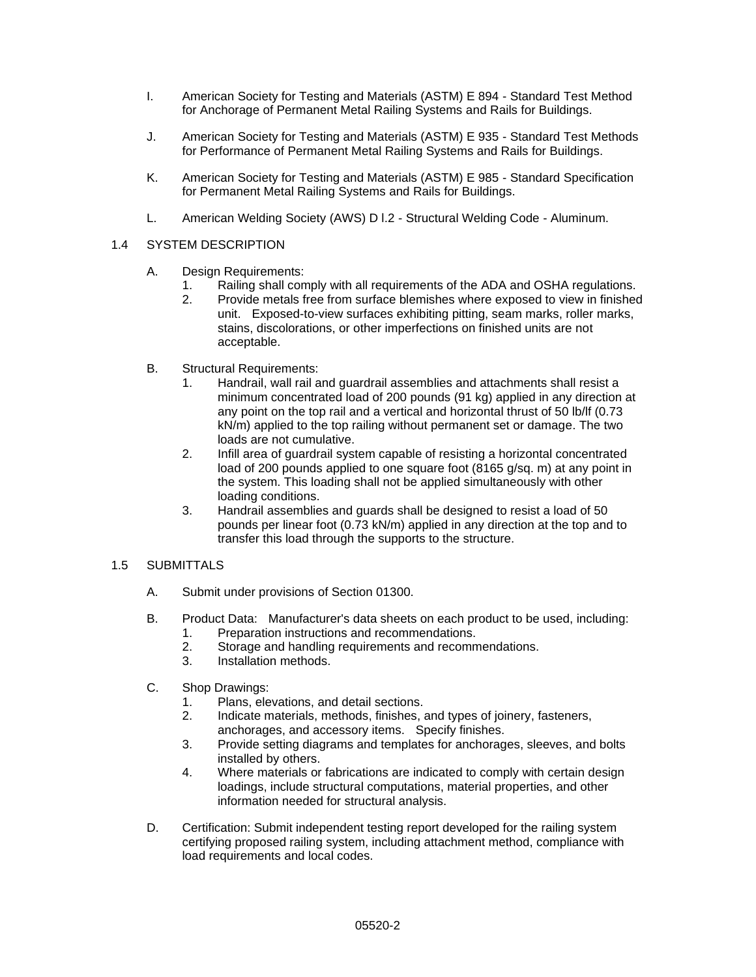- I. American Society for Testing and Materials (ASTM) E 894 Standard Test Method for Anchorage of Permanent Metal Railing Systems and Rails for Buildings.
- J. American Society for Testing and Materials (ASTM) E 935 Standard Test Methods for Performance of Permanent Metal Railing Systems and Rails for Buildings.
- K. American Society for Testing and Materials (ASTM) E 985 Standard Specification for Permanent Metal Railing Systems and Rails for Buildings.
- L. American Welding Society (AWS) D l.2 Structural Welding Code Aluminum.

## 1.4 SYSTEM DESCRIPTION

- A. Design Requirements:
	- 1. Railing shall comply with all requirements of the ADA and OSHA regulations.
	- 2. Provide metals free from surface blemishes where exposed to view in finished unit. Exposed-to-view surfaces exhibiting pitting, seam marks, roller marks, stains, discolorations, or other imperfections on finished units are not acceptable.
- B. Structural Requirements:
	- 1. Handrail, wall rail and guardrail assemblies and attachments shall resist a minimum concentrated load of 200 pounds (91 kg) applied in any direction at any point on the top rail and a vertical and horizontal thrust of 50 lb/lf (0.73 kN/m) applied to the top railing without permanent set or damage. The two loads are not cumulative.
	- 2. Infill area of guardrail system capable of resisting a horizontal concentrated load of 200 pounds applied to one square foot (8165 g/sq. m) at any point in the system. This loading shall not be applied simultaneously with other loading conditions.
	- 3. Handrail assemblies and guards shall be designed to resist a load of 50 pounds per linear foot (0.73 kN/m) applied in any direction at the top and to transfer this load through the supports to the structure.

# 1.5 SUBMITTALS

- A. Submit under provisions of Section 01300.
- B. Product Data: Manufacturer's data sheets on each product to be used, including:
	- 1. Preparation instructions and recommendations.
	- 2. Storage and handling requirements and recommendations.
	- 3. Installation methods.
- C. Shop Drawings:
	- 1. Plans, elevations, and detail sections.
	- 2. Indicate materials, methods, finishes, and types of joinery, fasteners, anchorages, and accessory items. Specify finishes.
	- 3. Provide setting diagrams and templates for anchorages, sleeves, and bolts installed by others.
	- 4. Where materials or fabrications are indicated to comply with certain design loadings, include structural computations, material properties, and other information needed for structural analysis.
- D. Certification: Submit independent testing report developed for the railing system certifying proposed railing system, including attachment method, compliance with load requirements and local codes.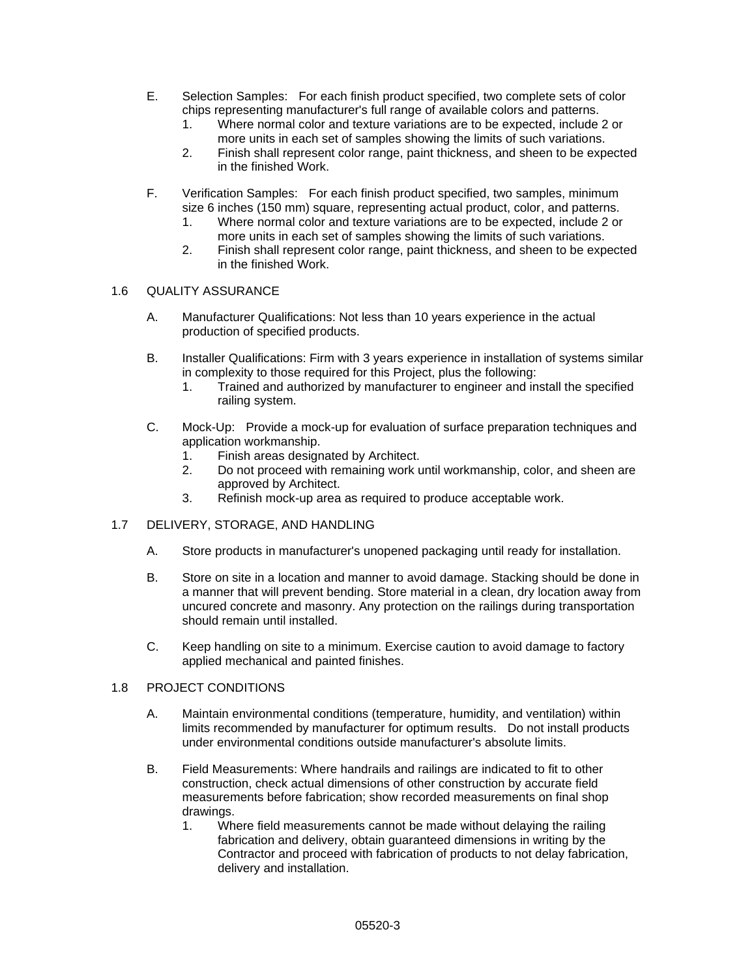- E. Selection Samples: For each finish product specified, two complete sets of color chips representing manufacturer's full range of available colors and patterns.
	- 1. Where normal color and texture variations are to be expected, include 2 or more units in each set of samples showing the limits of such variations.
	- 2. Finish shall represent color range, paint thickness, and sheen to be expected in the finished Work.
- F. Verification Samples: For each finish product specified, two samples, minimum size 6 inches (150 mm) square, representing actual product, color, and patterns.
	- 1. Where normal color and texture variations are to be expected, include 2 or more units in each set of samples showing the limits of such variations.
	- 2. Finish shall represent color range, paint thickness, and sheen to be expected in the finished Work.

#### 1.6 QUALITY ASSURANCE

- A. Manufacturer Qualifications: Not less than 10 years experience in the actual production of specified products.
- B. Installer Qualifications: Firm with 3 years experience in installation of systems similar in complexity to those required for this Project, plus the following:
	- 1. Trained and authorized by manufacturer to engineer and install the specified railing system.
- C. Mock-Up: Provide a mock-up for evaluation of surface preparation techniques and application workmanship.
	- 1. Finish areas designated by Architect.
	- 2. Do not proceed with remaining work until workmanship, color, and sheen are approved by Architect.
	- 3. Refinish mock-up area as required to produce acceptable work.

# 1.7 DELIVERY, STORAGE, AND HANDLING

- A. Store products in manufacturer's unopened packaging until ready for installation.
- B. Store on site in a location and manner to avoid damage. Stacking should be done in a manner that will prevent bending. Store material in a clean, dry location away from uncured concrete and masonry. Any protection on the railings during transportation should remain until installed.
- C. Keep handling on site to a minimum. Exercise caution to avoid damage to factory applied mechanical and painted finishes.

#### 1.8 PROJECT CONDITIONS

- A. Maintain environmental conditions (temperature, humidity, and ventilation) within limits recommended by manufacturer for optimum results. Do not install products under environmental conditions outside manufacturer's absolute limits.
- B. Field Measurements: Where handrails and railings are indicated to fit to other construction, check actual dimensions of other construction by accurate field measurements before fabrication; show recorded measurements on final shop drawings.
	- 1. Where field measurements cannot be made without delaying the railing fabrication and delivery, obtain guaranteed dimensions in writing by the Contractor and proceed with fabrication of products to not delay fabrication, delivery and installation.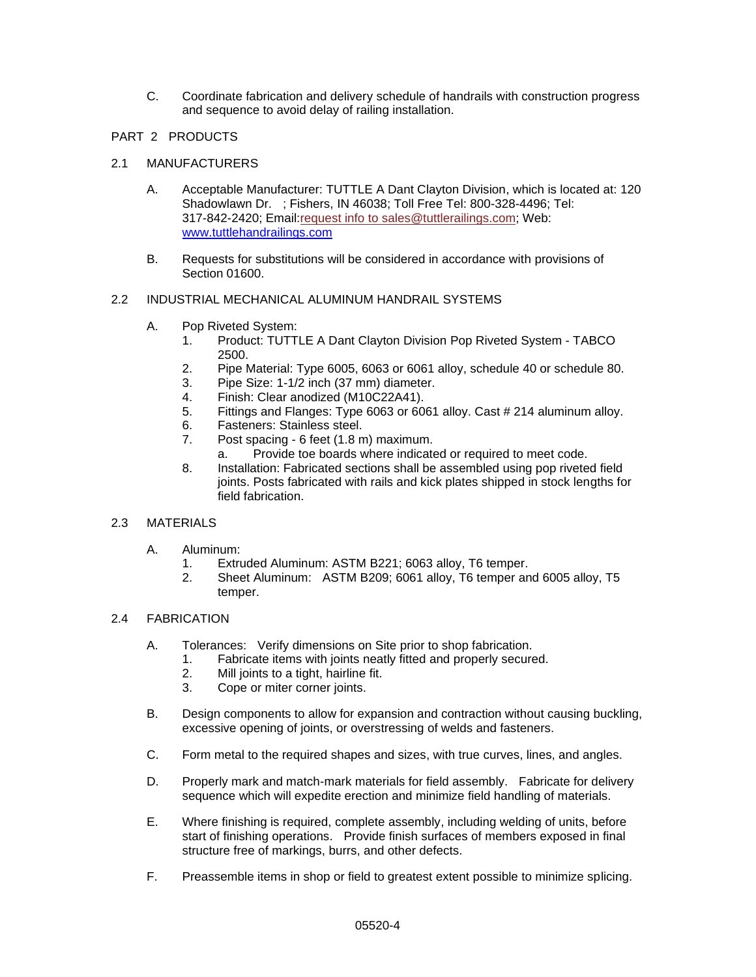C. Coordinate fabrication and delivery schedule of handrails with construction progress and sequence to avoid delay of railing installation.

## PART 2 PRODUCTS

## 2.1 MANUFACTURERS

- A. Acceptable Manufacturer: TUTTLE A Dant Clayton Division, which is located at: 120 Shadowlawn Dr. ; Fishers, IN 46038; Toll Free Tel: 800-328-4496; Tel: 317-842-2420; Email:request info to sales@tuttlerailings.com; Web: [www.tuttlehandrailings.com](http://www.tuttlehandrailings.com/)
- B. Requests for substitutions will be considered in accordance with provisions of Section 01600.

# 2.2 INDUSTRIAL MECHANICAL ALUMINUM HANDRAIL SYSTEMS

- A. Pop Riveted System:
	- 1. Product: TUTTLE A Dant Clayton Division Pop Riveted System TABCO 2500.
	- 2. Pipe Material: Type 6005, 6063 or 6061 alloy, schedule 40 or schedule 80.
	- 3. Pipe Size: 1-1/2 inch (37 mm) diameter.
	- 4. Finish: Clear anodized (M10C22A41).
	- 5. Fittings and Flanges: Type 6063 or 6061 alloy. Cast # 214 aluminum alloy.
	- 6. Fasteners: Stainless steel.
	- 7. Post spacing 6 feet (1.8 m) maximum.
		- a. Provide toe boards where indicated or required to meet code.
	- 8. Installation: Fabricated sections shall be assembled using pop riveted field joints. Posts fabricated with rails and kick plates shipped in stock lengths for field fabrication.

## 2.3 MATERIALS

- A. Aluminum:
	- 1. Extruded Aluminum: ASTM B221; 6063 alloy, T6 temper.
	- 2. Sheet Aluminum: ASTM B209; 6061 alloy, T6 temper and 6005 alloy, T5 temper.

## 2.4 FABRICATION

- A. Tolerances: Verify dimensions on Site prior to shop fabrication.
	- 1. Fabricate items with joints neatly fitted and properly secured.
	- 2. Mill joints to a tight, hairline fit.
	- 3. Cope or miter corner joints.
- B. Design components to allow for expansion and contraction without causing buckling, excessive opening of joints, or overstressing of welds and fasteners.
- C. Form metal to the required shapes and sizes, with true curves, lines, and angles.
- D. Properly mark and match-mark materials for field assembly. Fabricate for delivery sequence which will expedite erection and minimize field handling of materials.
- E. Where finishing is required, complete assembly, including welding of units, before start of finishing operations. Provide finish surfaces of members exposed in final structure free of markings, burrs, and other defects.
- F. Preassemble items in shop or field to greatest extent possible to minimize splicing.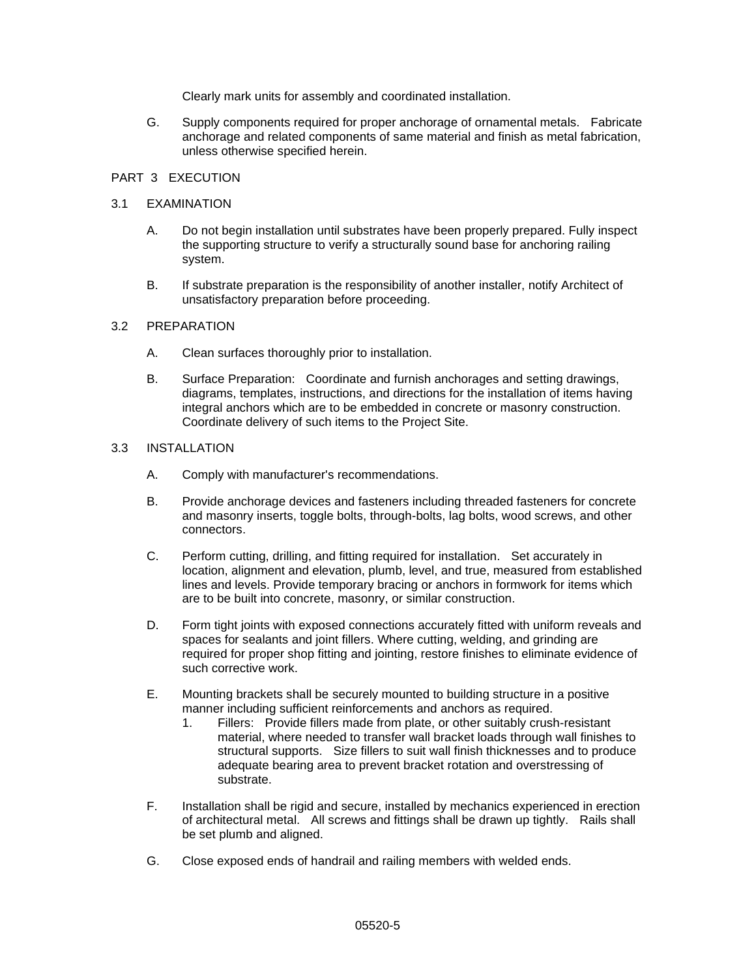Clearly mark units for assembly and coordinated installation.

G. Supply components required for proper anchorage of ornamental metals. Fabricate anchorage and related components of same material and finish as metal fabrication, unless otherwise specified herein.

#### PART 3 EXECUTION

#### 3.1 EXAMINATION

- A. Do not begin installation until substrates have been properly prepared. Fully inspect the supporting structure to verify a structurally sound base for anchoring railing system.
- B. If substrate preparation is the responsibility of another installer, notify Architect of unsatisfactory preparation before proceeding.

#### 3.2 PREPARATION

- A. Clean surfaces thoroughly prior to installation.
- B. Surface Preparation: Coordinate and furnish anchorages and setting drawings, diagrams, templates, instructions, and directions for the installation of items having integral anchors which are to be embedded in concrete or masonry construction. Coordinate delivery of such items to the Project Site.

#### 3.3 INSTALLATION

- A. Comply with manufacturer's recommendations.
- B. Provide anchorage devices and fasteners including threaded fasteners for concrete and masonry inserts, toggle bolts, through-bolts, lag bolts, wood screws, and other connectors.
- C. Perform cutting, drilling, and fitting required for installation. Set accurately in location, alignment and elevation, plumb, level, and true, measured from established lines and levels. Provide temporary bracing or anchors in formwork for items which are to be built into concrete, masonry, or similar construction.
- D. Form tight joints with exposed connections accurately fitted with uniform reveals and spaces for sealants and joint fillers. Where cutting, welding, and grinding are required for proper shop fitting and jointing, restore finishes to eliminate evidence of such corrective work.
- E. Mounting brackets shall be securely mounted to building structure in a positive manner including sufficient reinforcements and anchors as required.
	- 1. Fillers: Provide fillers made from plate, or other suitably crush-resistant material, where needed to transfer wall bracket loads through wall finishes to structural supports. Size fillers to suit wall finish thicknesses and to produce adequate bearing area to prevent bracket rotation and overstressing of substrate.
- F. Installation shall be rigid and secure, installed by mechanics experienced in erection of architectural metal. All screws and fittings shall be drawn up tightly. Rails shall be set plumb and aligned.
- G. Close exposed ends of handrail and railing members with welded ends.